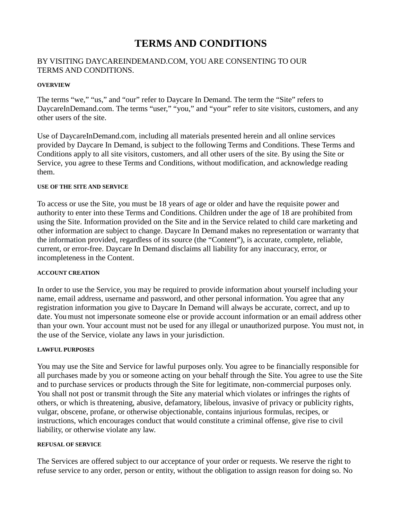# **TERMS AND CONDITIONS**

# BY VISITING DAYCAREINDEMAND.COM, YOU ARE CONSENTING TO OUR TERMS AND CONDITIONS.

## **OVERVIEW**

The terms "we," "us," and "our" refer to Daycare In Demand. The term the "Site" refers to DaycareInDemand.com. The terms "user," "you," and "your" refer to site visitors, customers, and any other users of the site.

Use of DaycareInDemand.com, including all materials presented herein and all online services provided by Daycare In Demand, is subject to the following Terms and Conditions. These Terms and Conditions apply to all site visitors, customers, and all other users of the site. By using the Site or Service, you agree to these Terms and Conditions, without modification, and acknowledge reading them.

## **USE OF THE SITE AND SERVICE**

To access or use the Site, you must be 18 years of age or older and have the requisite power and authority to enter into these Terms and Conditions. Children under the age of 18 are prohibited from using the Site. Information provided on the Site and in the Service related to child care marketing and other information are subject to change. Daycare In Demand makes no representation or warranty that the information provided, regardless of its source (the "Content"), is accurate, complete, reliable, current, or error-free. Daycare In Demand disclaims all liability for any inaccuracy, error, or incompleteness in the Content.

## **ACCOUNT CREATION**

In order to use the Service, you may be required to provide information about yourself including your name, email address, username and password, and other personal information. You agree that any registration information you give to Daycare In Demand will always be accurate, correct, and up to date. Youmust not impersonate someone else or provide account information or an email address other than your own. Your account must not be used for any illegal or unauthorized purpose. You must not, in the use of the Service, violate any laws in your jurisdiction.

## **LAWFUL PURPOSES**

You may use the Site and Service for lawful purposes only. You agree to be financially responsible for all purchases made by you or someone acting on your behalf through the Site. You agree to use the Site and to purchase services or products through the Site for legitimate, non-commercial purposes only. You shall not post or transmit through the Site any material which violates or infringes the rights of others, or which is threatening, abusive, defamatory, libelous, invasive of privacy or publicity rights, vulgar, obscene, profane, or otherwise objectionable, contains injurious formulas, recipes, or instructions, which encourages conduct that would constitute a criminal offense, give rise to civil liability, or otherwise violate any law.

## **REFUSAL OF SERVICE**

The Services are offered subject to our acceptance of your order or requests. We reserve the right to refuse service to any order, person or entity, without the obligation to assign reason for doing so. No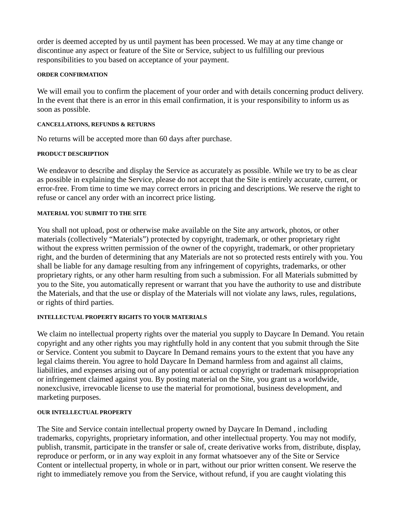order is deemed accepted by us until payment has been processed. We may at any time change or discontinue any aspect or feature of the Site or Service, subject to us fulfilling our previous responsibilities to you based on acceptance of your payment.

## **ORDER CONFIRMATION**

We will email you to confirm the placement of your order and with details concerning product delivery. In the event that there is an error in this email confirmation, it is your responsibility to inform us as soon as possible.

## **CANCELLATIONS, REFUNDS & RETURNS**

No returns will be accepted more than 60 days after purchase.

## **PRODUCT DESCRIPTION**

We endeavor to describe and display the Service as accurately as possible. While we try to be as clear as possible in explaining the Service, please do not accept that the Site is entirely accurate, current, or error-free. From time to time we may correct errors in pricing and descriptions. We reserve the right to refuse or cancel any order with an incorrect price listing.

## **MATERIAL YOU SUBMIT TO THE SITE**

You shall not upload, post or otherwise make available on the Site any artwork, photos, or other materials (collectively "Materials") protected by copyright, trademark, or other proprietary right without the express written permission of the owner of the copyright, trademark, or other proprietary right, and the burden of determining that any Materials are not so protected rests entirely with you. You shall be liable for any damage resulting from any infringement of copyrights, trademarks, or other proprietary rights, or any other harm resulting from such a submission. For all Materials submitted by you to the Site, you automatically represent or warrant that you have the authority to use and distribute the Materials, and that the use or display of the Materials will not violate any laws, rules, regulations, or rights of third parties.

## **INTELLECTUAL PROPERTY RIGHTS TO YOUR MATERIALS**

We claim no intellectual property rights over the material you supply to Daycare In Demand. You retain copyright and any other rights you may rightfully hold in any content that you submit through the Site or Service. Content you submit to Daycare In Demand remains yours to the extent that you have any legal claims therein. You agree to hold Daycare In Demand harmless from and against all claims, liabilities, and expenses arising out of any potential or actual copyright or trademark misappropriation or infringement claimed against you. By posting material on the Site, you grant us a worldwide, nonexclusive, irrevocable license to use the material for promotional, business development, and marketing purposes.

## **OUR INTELLECTUAL PROPERTY**

The Site and Service contain intellectual property owned by Daycare In Demand , including trademarks, copyrights, proprietary information, and other intellectual property. You may not modify, publish, transmit, participate in the transfer or sale of, create derivative works from, distribute, display, reproduce or perform, or in any way exploit in any format whatsoever any of the Site or Service Content or intellectual property, in whole or in part, without our prior written consent. We reserve the right to immediately remove you from the Service, without refund, if you are caught violating this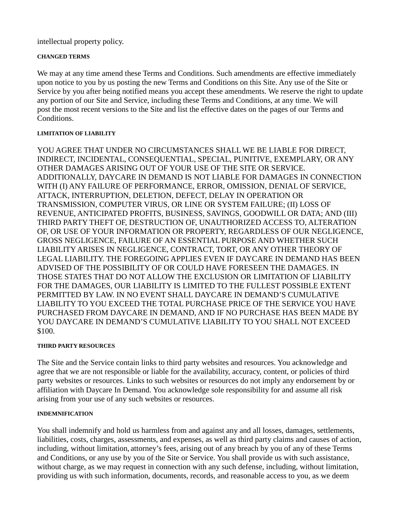intellectual property policy.

## **CHANGED TERMS**

We may at any time amend these Terms and Conditions. Such amendments are effective immediately upon notice to you by us posting the new Terms and Conditions on this Site. Any use of the Site or Service by you after being notified means you accept these amendments. We reserve the right to update any portion of our Site and Service, including these Terms and Conditions, at any time. We will post the most recent versions to the Site and list the effective dates on the pages of our Terms and Conditions.

## **LIMITATION OF LIABILITY**

YOU AGREE THAT UNDER NO CIRCUMSTANCES SHALL WE BE LIABLE FOR DIRECT, INDIRECT, INCIDENTAL, CONSEQUENTIAL, SPECIAL, PUNITIVE, EXEMPLARY, OR ANY OTHER DAMAGES ARISING OUT OF YOUR USE OF THE SITE OR SERVICE. ADDITIONALLY, DAYCARE IN DEMAND IS NOT LIABLE FOR DAMAGES IN CONNECTION WITH (I) ANY FAILURE OF PERFORMANCE, ERROR, OMISSION, DENIAL OF SERVICE, ATTACK, INTERRUPTION, DELETION, DEFECT, DELAY IN OPERATION OR TRANSMISSION, COMPUTER VIRUS, OR LINE OR SYSTEM FAILURE; (II) LOSS OF REVENUE, ANTICIPATED PROFITS, BUSINESS, SAVINGS, GOODWILL OR DATA; AND (III) THIRD PARTY THEFT OF, DESTRUCTION OF, UNAUTHORIZED ACCESS TO, ALTERATION OF, OR USE OF YOUR INFORMATION OR PROPERTY, REGARDLESS OF OUR NEGLIGENCE, GROSS NEGLIGENCE, FAILURE OF AN ESSENTIAL PURPOSE AND WHETHER SUCH LIABILITY ARISES IN NEGLIGENCE, CONTRACT, TORT, OR ANY OTHER THEORY OF LEGAL LIABILITY. THE FOREGOING APPLIES EVEN IF DAYCARE IN DEMAND HAS BEEN ADVISED OF THE POSSIBILITY OF OR COULD HAVE FORESEEN THE DAMAGES. IN THOSE STATES THAT DO NOT ALLOW THE EXCLUSION OR LIMITATION OF LIABILITY FOR THE DAMAGES, OUR LIABILITY IS LIMITED TO THE FULLEST POSSIBLE EXTENT PERMITTED BY LAW. IN NO EVENT SHALL DAYCARE IN DEMAND'S CUMULATIVE LIABILITY TO YOU EXCEED THE TOTAL PURCHASE PRICE OF THE SERVICE YOU HAVE PURCHASED FROM DAYCARE IN DEMAND, AND IF NO PURCHASE HAS BEEN MADE BY YOU DAYCARE IN DEMAND'S CUMULATIVE LIABILITY TO YOU SHALL NOT EXCEED \$100.

## **THIRD PARTY RESOURCES**

The Site and the Service contain links to third party websites and resources. You acknowledge and agree that we are not responsible or liable for the availability, accuracy, content, or policies of third party websites or resources. Links to such websites or resources do not imply any endorsement by or affiliation with Daycare In Demand. You acknowledge sole responsibility for and assume all risk arising from your use of any such websites or resources.

## **INDEMNIFICATION**

You shall indemnify and hold us harmless from and against any and all losses, damages, settlements, liabilities, costs, charges, assessments, and expenses, as well as third party claims and causes of action, including, without limitation, attorney's fees, arising out of any breach by you of any of these Terms and Conditions, or any use by you of the Site or Service. You shall provide us with such assistance, without charge, as we may request in connection with any such defense, including, without limitation, providing us with such information, documents, records, and reasonable access to you, as we deem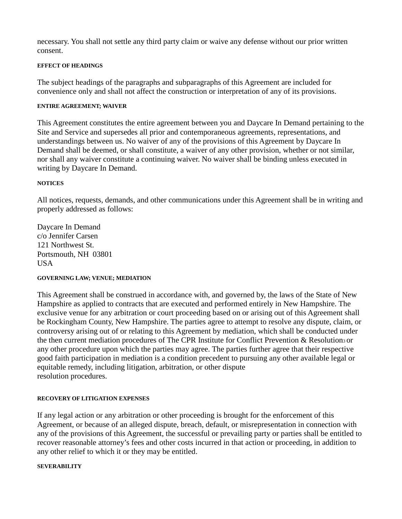necessary. You shall not settle any third party claim or waive any defense without our prior written consent.

## **EFFECT OF HEADINGS**

The subject headings of the paragraphs and subparagraphs of this Agreement are included for convenience only and shall not affect the construction or interpretation of any of its provisions.

#### **ENTIRE AGREEMENT; WAIVER**

This Agreement constitutes the entire agreement between you and Daycare In Demand pertaining to the Site and Service and supersedes all prior and contemporaneous agreements, representations, and understandings between us. No waiver of any of the provisions of this Agreement by Daycare In Demand shall be deemed, or shall constitute, a waiver of any other provision, whether or not similar, nor shall any waiver constitute a continuing waiver. No waiver shall be binding unless executed in writing by Daycare In Demand.

#### **NOTICES**

All notices, requests, demands, and other communications under this Agreement shall be in writing and properly addressed as follows:

Daycare In Demand c/o Jennifer Carsen 121 Northwest St. Portsmouth, NH 03801 USA

## **GOVERNING LAW; VENUE; MEDIATION**

This Agreement shall be construed in accordance with, and governed by, the laws of the State of New Hampshire as applied to contracts that are executed and performed entirely in New Hampshire. The exclusive venue for any arbitration or court proceeding based on or arising out of this Agreement shall be Rockingham County, New Hampshire. The parties agree to attempt to resolve any dispute, claim, or controversy arising out of or relating to this Agreement by mediation, which shall be conducted under the then current mediation procedures of The CPR Institute for Conflict Prevention & Resolution3 or any other procedure upon which the parties may agree. The parties further agree that their respective good faith participation in mediation is a condition precedent to pursuing any other available legal or equitable remedy, including litigation, arbitration, or other dispute resolution procedures.

## **RECOVERY OF LITIGATION EXPENSES**

If any legal action or any arbitration or other proceeding is brought for the enforcement of this Agreement, or because of an alleged dispute, breach, default, or misrepresentation in connection with any of the provisions of this Agreement, the successful or prevailing party or parties shall be entitled to recover reasonable attorney's fees and other costs incurred in that action or proceeding, in addition to any other relief to which it or they may be entitled.

#### **SEVERABILITY**